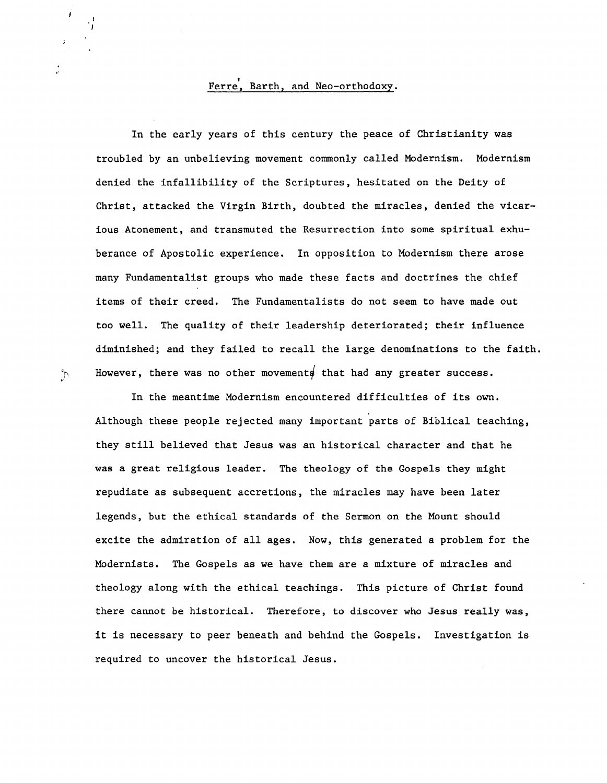## , Ferre, Barth, and Neo-orthodoxy.

In the early years of this century the peace of Christianity was troubled by an unbelieving movement commonly called Modernism. Modernism denied the infallibility of the Scriptures, hesitated on the Deity of Christ, attacked the Virgin Birth, doubted the miracles, denied the vicarious Atonement, and transmuted the Resurrection into some spiritual exhuberance of Apostolic experience. In opposition to Modernism there arose many Fundamentalist groups who made these facts and doctrines the chief items of their creed. The Fundamentalists do not seem to have made out too well. The quality of their leadership deteriorated; their influence diminished; and they failed to recall the large denominations to the faith.  $\mathcal{L}$  However, there was no other movements that had any greater success.

In the meantime Modernism encountered difficulties of its own. Although these people rejected many important parts of Biblical teaching, they still believed that Jesus was an historical character and that he was a great religious leader. The theology of the Gospels they might repudiate as subsequent accretions, the miracles may have been later legends, but the ethical standards of the Sermon on the Mount should excite the admiration of all ages. Now, this generated a problem for the Modernists. The Gospels as we have them are a mixture of miracles and theology along with the ethical teachings. This picture of Christ found there cannot be historical. Therefore, to discover who Jesus really was, it is necessary to peer beneath and behind the Gospels. Investigation is required to uncover the historical Jesus.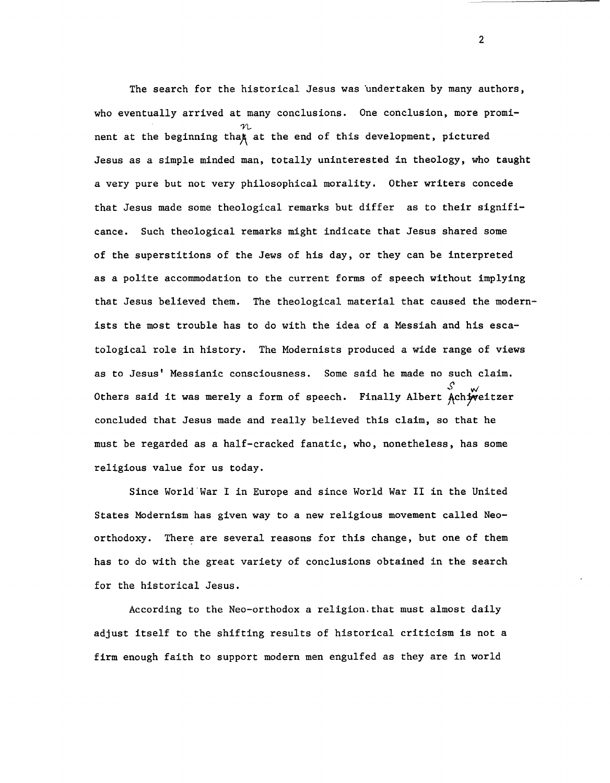The search for the historical Jesus was undertaken by many authors, who eventually arrived at many conclusions. One conclusion, more promi-  $$\mathcal{N}$$  nent at the beginning tha $\sharp$  at the end of this development, pictured Jesus as a simple minded man, totally uninterested in theology, who taught a very pure but not very philosophical morality. Other writers concede that Jesus made some theological remarks but differ as to their significance. Such theological remarks might indicate that Jesus shared some of the superstitions of the Jews of his day, or they can be interpreted as a polite accommodation to the current forms of speech without implying that Jesus believed them. The theological material that caused the modernists the most trouble has to do with the idea of a Messiah and his escatological role in history. The Modernists produced a wide range of views as to Jesus' Messianic consciousness. Some said he made no such claim. ,~ ~ Others said it was merely a form of speech. Finally Albert Ach;veitzer concluded that Jesus made and really believed this claim, so that he must be regarded as a half-cracked fanatic, who, nonetheless, has some religious value for us today.

Since World'War I in Europe and since World War II in the United States Modernism has given way to a new religious movement called Neoorthodoxy. There are several reasons for this change, but one of them has to do with the great variety of conclusions obtained in the search for the historical Jesus.

According to the Neo-orthodox a religion. that must almost daily adjust itself to the shifting results of historical criticism is not a firm enough faith to support modern men engulfed as they are in world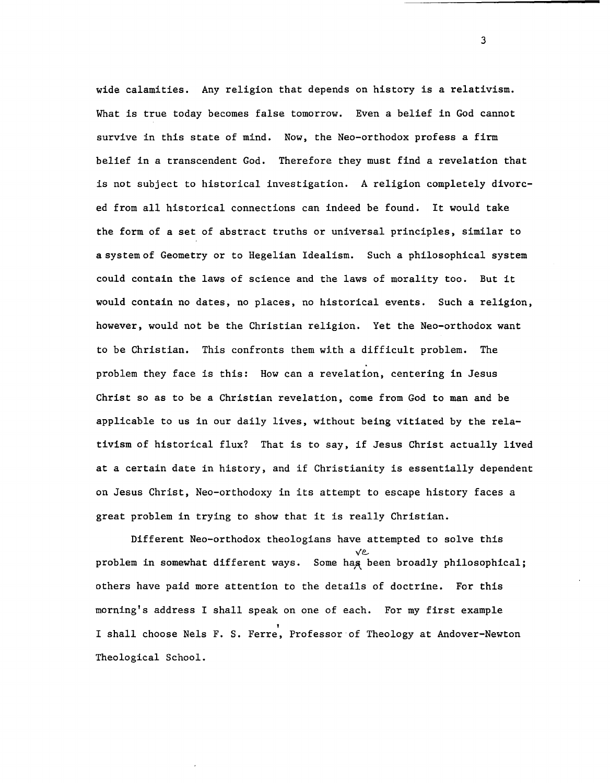wide calamities. Any religion that depends on history is a relativism. What is true today becomes false tomorrow. Even a belief in God cannot survive in this state of mind. Now, the Neo-orthodox profess a firm belief in a transcendent God. Therefore they must find a revelation that is not subject to historical investigation. A religion completely divorced from all historical connections can indeed be found. It would take the form of a set of abstract truths or universal principles, similar to a system of Geometry or to Hegelian Idealism. Such a philosophical system could contain the laws of science and the laws of morality too. But it would contain no dates, no places, no historical events. Such a religion, however, would not be the Christian religion. Yet the Neo-orthodox want to be Christian. This confronts them with a difficult problem. The problem they face is this: How can a revelation, centering in Jesus Christ so as to be a Christian revelation, come from God to man and be applicable to us in our daily lives, without being vitiated by the relativism of historical flux? That is to say, if Jesus Christ actually lived at a certain date in history, and if Christianity is essentially dependent on Jesus Christ, Neo-orthodoxy in its attempt to escape history faces a great problem in trying to show that it is really Christian.

Different Neo-orthodox theologians have attempted to solve this v~ problem in somewhat different ways. Some hag been broadly philosophical; others have paid more attention to the details of doctrine. For this morning's address I shall speak on one of each. For my first example I shall choose Nels F. S. Ferre, Professor of Theology at Andover-Newton Theological School.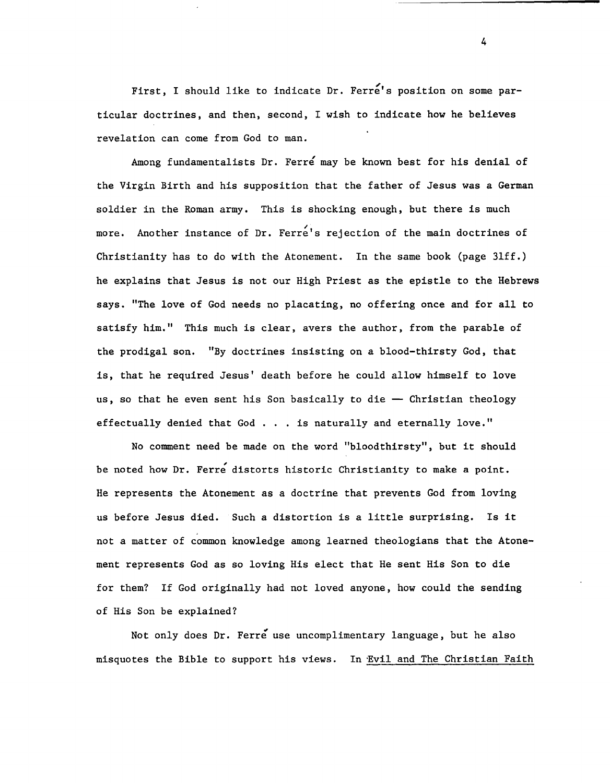First, I should like to indicate Dr. Ferre's position on some particular doctrines, and then, second, I wish to indicate how he believes revelation can come from God to man.

Among fundamentalists Dr. Ferre may be known best for his denial of the Virgin Birth and his supposition that the father of Jesus was a German soldier in the Roman army. This is shocking enough, but there is much more. Another instance of Dr. Ferre's rejection of the main doctrines of Christianity has to do with the Atonement. In the same book (page 3lff.) he explains that Jesus is not our High Priest as the epistle to the Hebrews says. "The love of God needs no placating, no offering once and for all to satisfy him." This much is clear, avers the author, from the parable of the prodigal son. "By doctrines insisting on a blood-thirsty God, that is, that he required Jesus' death before he could allow himself to love us, so that he even sent his Son basically to die  $-$  Christian theology effectually denied that God ... is naturally and eternally love."

No comment need be made on the word "bloodthirsty", but it should be noted how Dr. Ferre distorts historic Christianity to make a point. He represents the Atonement as a doctrine that prevents God from loving us before Jesus died. Such a distortion is a little surprising. Is it not a matter of common knowledge among learned theologians that the Atonement represents God as so loving His elect that He sent His Son to die for them? If God originally had not loved anyone, how could the sending of His Son be explained?

Not only does Dr. Ferre use uncomplimentary language, but he also misquotes the Bible to support his views. In Evil and The Christian Faith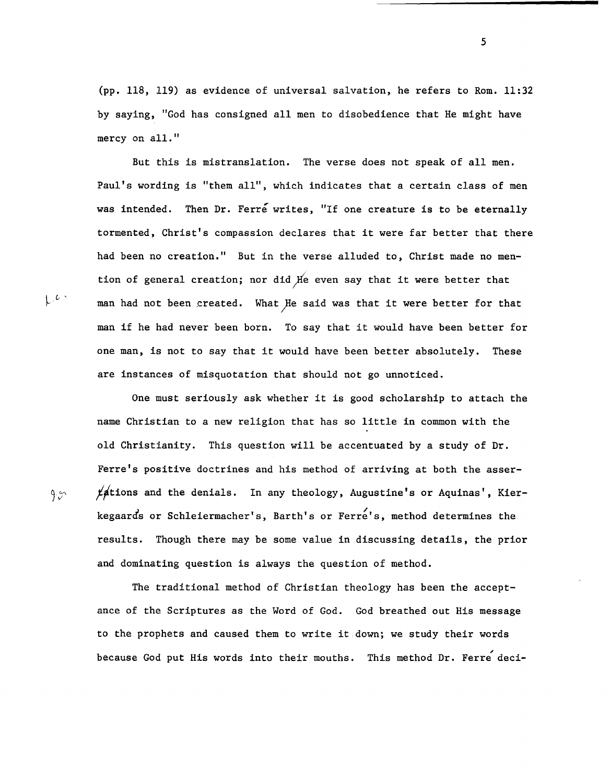(pp. 118, 119) as evidence of universal salvation, he refers to Rom. 11:32 by saying, "God has consigned all men to disobedience that He might have mercy on all."

But this is mistranslation. The verse does not speak of all men. Paul's wording is "them all", which indicates that a certain class of men was intended. Then Dr. Ferre writes, "If one creature is to be eternally tormented, Christ's compassion declares that it were far better that there had been no creation." But in the verse alluded to, Christ made no mention of general creation; nor did  $f$ e even say that it were better that  $\downarrow$   $\ell$   $\cdot$  man had not been created. What He said was that it were better for that man if he had never been born. To say that it would have been better for one man, is not to say that it would have been better absolutely. These are instances of misquotation that should not go unnoticed.

One must seriously ask whether it is good scholarship to attach the name Christian to a new religion that has so little in common with the old Christianity. This question will be accentuated by a study of Dr. Ferre's positive doctrines and his method of arriving at both the asser-  $\gamma$ ,  $\beta$  is factions and the denials. In any theology, Augustine's or Aquinas', Kierkegaards or Schleiermacher's, Barth's or Ferre's, method determines the results. Though there may be some value in discussing details, the prior and dominating question is always the question of method.

The traditional method of Christian theology has been the acceptance of the Scriptures as the Word of God. God breathed out His message to the prophets and caused them to write it down; we study their words because God put His words into their mouths. This method Dr. Ferre deci-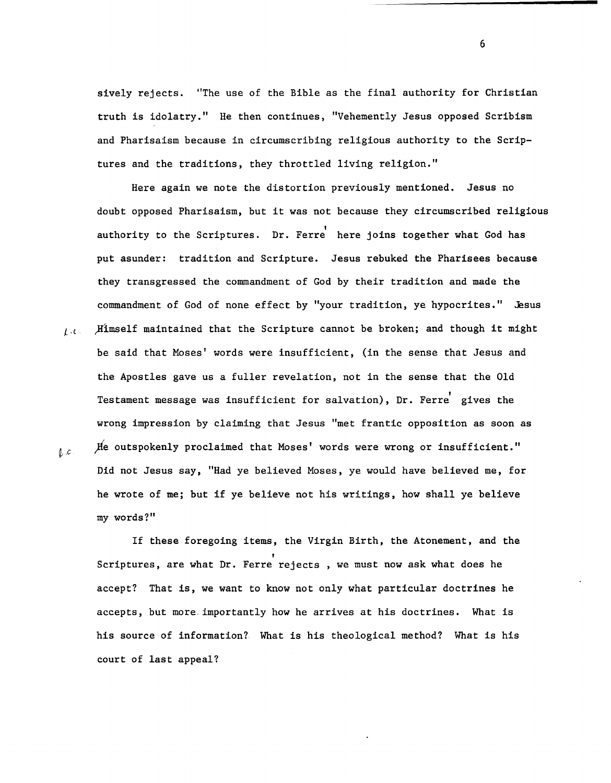sively rejects. "The use of the Bible as the final authority for Christian truth is idolatry." He then continues, "Vehemently Jesus opposed Scribism and Pharisaism because in circumscribing religious authority to the Scriptures and the traditions, they throttled living religion."

Here again we note the distortion previously mentioned. Jesus no doubt opposed Pharisaism, but it was not because they circumscribed religious authority to the Scriptures. Dr. Ferre here joins together what God has put asunder: tradition and Scripture. Jesus rebuked the Pharisees because they transgressed the commandment of God by their tradition and made the commandment of God of none effect by "your tradition, ye hypocrites." Jesus *t.t.* ) Himself maintained that the Scripture cannot be broken; and though it might be said that Moses' words were insufficient, (in the sense that Jesus and the Apostles gave us a fuller revelation, not in the sense that the Old Testament message was insufficient for salvation), Dr. Ferre gives the wrong impression by claiming that Jesus "met frantic opposition as soon as  $\ell$ <sub>,  $c$ </sub> *)*  $\mu$  outspokenly proclaimed that Moses' words were wrong or insufficient." Did not Jesus say, "Had ye believed Moses, ye would have believed me, for he wrote of me; but if ye believe not his writings, how shall ye believe my words?"

If these foregoing items, the Virgin Birth, the Atonement, and the Scriptures, are what Dr. Ferre rejects, we must now ask what does he accept? That is, we want to know not only what particular doctrines he accepts, but more, importantly how he arrives at his doctrines. What is his source of information? What is his theological method? What is his court of last appeal?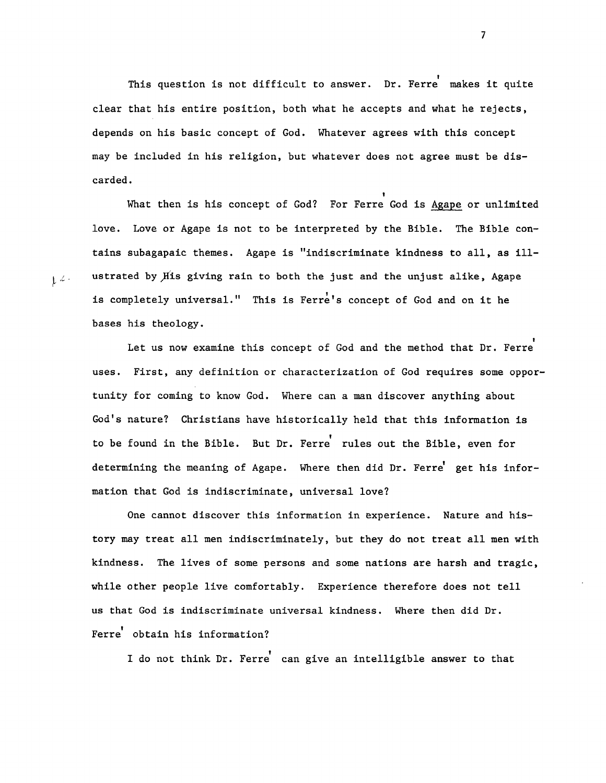This question is not difficult to answer. Dr. Ferre makes it quite clear that his entire position, both what he accepts and what he rejects, depends on his basic concept of God. Whatever agrees with this concept may be included in his religion, but whatever does not agree must be discarded.<br>What then is his concept of God? For Ferre God is Agape or unlimited

love. Love or Agape is not to be interpreted by the Bible. The Bible contains subagapaic themes. Agape is "indiscriminate kindness to all, as ill-  $\int_{\mathbb{R}} f(x) dx$  ustrated by His giving rain to both the just and the unjust alike, Agape is completely universal." This is Ferre's concept of God and on it he bases his theology.

Let us now examine this concept of God and the method that Dr. Ferre uses. First, any definition or characterization of God requires some opportunity for coming to know God. Where can a man discover anything about God's nature? Christians have historically held that this information is to be found in the Bible. But Dr. Ferre rules out the Bible, even for determining the meaning of Agape. Where then did Dr. Ferre get his information that God is indiscriminate, universal love?

One cannot discover this information in experience. Nature and history may treat all men indiscriminately, but they do not treat all men with kindness. The lives of some persons and some nations are harsh and tragic, while other people live comfortably. Experience therefore does not tell us that God is indiscriminate universal kindness. Where then did Dr. Ferre obtain his information?

I do not think Dr. Ferre can give an intelligible answer to that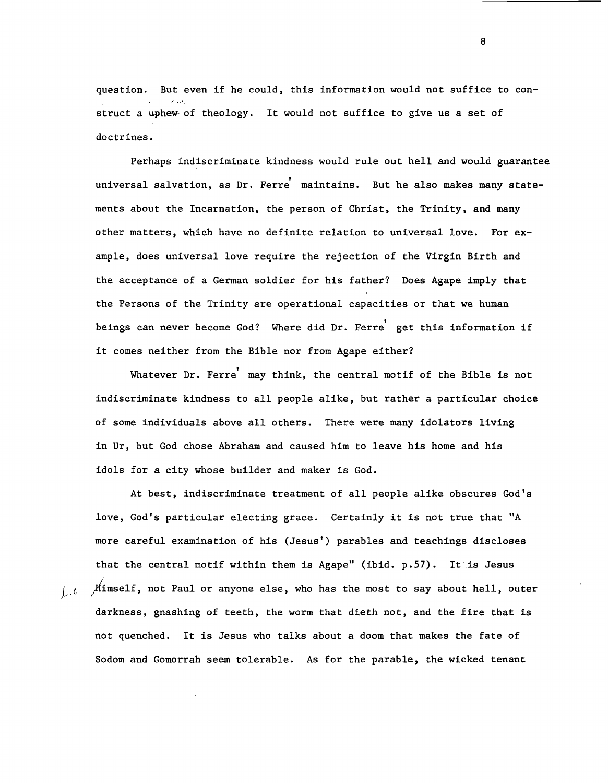question. But even if he could, this information would not suffice to con-  $\mathcal{L}$  ,  $\mathcal{F}_{\mathcal{L}}$ struct a uphew of theology. It would not suffice to give us a set of doctrines.

Perhaps indiscriminate kindness would rule out hell and would guarantee universal salvation, as Dr. Ferre maintains. But he also makes many statements about the Incarnation, the person of Christ, the Trinity, and many other matters, which have no definite relation to universal love. For example, does universal love require the rejection of the Virgin Birth and the acceptance of a German soldier for his father? Does Agape imply that the Persons of the Trinity are operational capacities or that we human beings can never become God? Where did Dr. Ferre get this information if it comes neither from the Bible nor from Agape either?

Whatever Dr. Ferre may think, the central motif of the Bible is not indiscriminate kindness to all people alike, but rather a particular choice of some individuals above all others. There were many idolators living in Ur, but God chose Abraham and caused him to leave his home and his idols for a city whose builder and maker is God.

At best, indiscriminate treatment of all people alike obscures God's love, God's particular electing grace. Certainly it is not true that "A more careful examination of his (Jesus') parables and teachings discloses that the central motif within them is Agape" (ibid.  $p.57$ ). It is Jesus  $\iint_{\mathbb{R}^d} f$   $\mathcal{M}$  imself, not Paul or anyone else, who has the most to say about hell, outer darkness, gnashing of teeth, the worm that dieth not, and the fire that is not quenched. It is Jesus who talks about a doom that makes the fate of Sodom and Gomorrah seem tolerable. As for the parable, the wicked tenant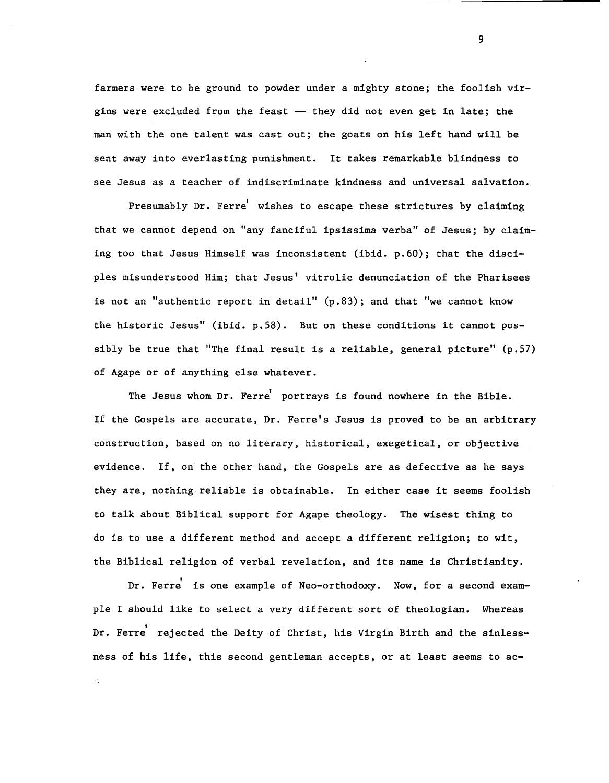farmers were to be ground to powder under a mighty stone; the foolish virgins were excluded from the feast  $-$  they did not even get in late; the man with the one talent was cast out; the goats on his left hand will be sent away into everlasting punishment. It takes remarkable blindness to see Jesus as a teacher of indiscriminate kindness and universal salvation.

Presumably Dr. Ferre wishes to escape these strictures by claiming that we cannot depend on "any fanciful ipsissima verba" of Jesus; by claiming too that Jesus Himself was inconsistent (ibid. p.60); that the discipIes misunderstood Him; that Jesus' vitrolic denunciation of the Pharisees is not an "authentic report in detail"  $(p.83)$ ; and that "we cannot know the historic Jesus" (ibid. p.S8). But on these conditions it cannot possibly be true that "The final result is a reliable, general picture" (p.S7) of Agape or of anything else whatever.

The Jesus whom Dr. Ferre portrays is found nowhere in the Bible. If the Gospels are accurate, Dr. Ferre's Jesus is proved to be an arbitrary construction, based on no literary, historical, exegetical, or objective evidence. If, on' the other hand, the Gospels are as defective as he says they are, nothing reliable is obtainable. In either case it seems foolish to talk about Biblical support for Agape theology. The wisest thing to do is to use a different method and accept a different religion; to wit, the Biblical religion of verbal revelation, and its name is Christianity.

Dr. Ferre is one example of Neo-orthodoxy. Now, for a second exampIe I should like to select a very different sort of theologian. Whereas Dr. Ferre' rejected the Deity of Christ, his Virgin Birth and the sinlessness of his life, this second gentleman accepts, or at least seems to ac-

 $\epsilon$  :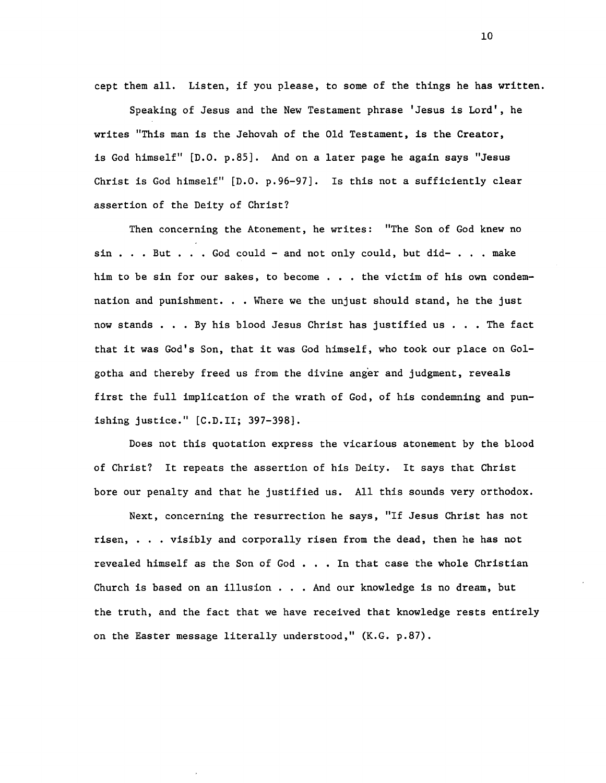cept them all. Listen, if you please, to some of the things he has written.

Speaking of Jesus and the New Testament phrase 'Jesus is Lord', he writes "This man is the Jehovah of the Old Testament, is the Creator, is God himself" [D.O. p.85]. And on a later page he again says "Jesus Christ is God himself" [D.O. p.96-97]. Is this not a sufficiently clear assertion of the Deity of Christ?

Then concerning the Atonement, he writes: "The Son of God knew no  $sin . . . But . . . God could - and not only could, but did- . . . make$ him to be sin for our sakes, to become ... the victim of his own condemnation and punishment. . . Where we the unjust should stand, he the just now stands . . . By his blood Jesus Christ has justified us . . . The fact that it was God's Son, that it was God himself, who took our place on Golgotha and thereby freed us from the divine anger and judgment, reveals first the full implication of the wrath of God, of his condemning and punishing justice." [C.D. II; 397-398].

Does not this quotation express the vicarious atonement by the blood of Christ? It repeats the assertion of his Deity. It says that Christ bore our penalty and that he justified us. All this sounds very orthodox.

Next, concerning the resurrection he says, "If Jesus Christ has not risen, • . . visibly and corporally risen from the dead, then he has not revealed himself as the Son of God  $\ldots$  . In that case the whole Christian Church is based on an illusion . . . And our knowledge is no dream, but the truth, and the fact that we have received that knowledge rests entirely on the Easter message literally understood," (K.G. p.87).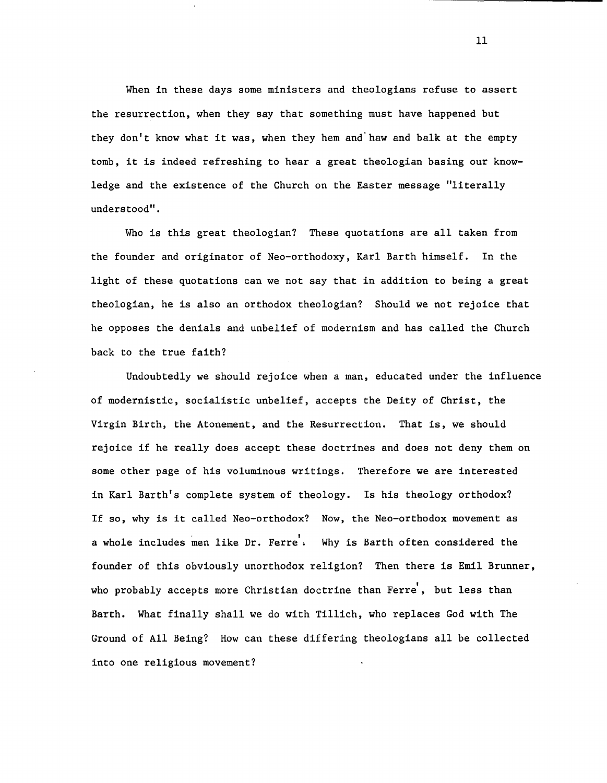When in these days some ministers and theologians refuse to assert the resurrection, when they say that something must have happened but they don't know what it was, when they hem and" haw and balk at the empty tomb, it is indeed refreshing to hear a great theologian basing our knowledge and the existence of the Church on the Easter message "literally understood".

Who is this great theologian? These quotations are all taken from the founder and originator of Neo-orthodoxy, Karl Barth himself. In the light of these quotations can we not say that in addition to being a great theologian, he is also an orthodox theologian? Should we not rejoice that he opposes the denials and unbelief of modernism and has called the Church back to the true faith?

Undoubtedly we should rejoice when a man, educated under the influence of modernistic, socialistic unbelief, accepts the Deity of Christ, the Virgin Birth, the Atonement, and the Resurrection. That is, we should rejoice if he really does accept these doctrines and does not deny them on some other page of his voluminous writings. Therefore we are interested in Karl Barth's complete system of theology. Is his theology orthodox? If so, why is it called Neo-orthodox? Now, the Neo-orthodox movement as a whole includes men like Dr. Ferre. Why is Barth often considered the founder of this obviously unorthodox religion? Then there is Emil Brunner, who probably accepts more Christian doctrine than Ferre', but less than Barth. What finally shall we do with Tillich, who replaces God with The Ground of All Being? How can these differing theologians all be collected into one religious movement?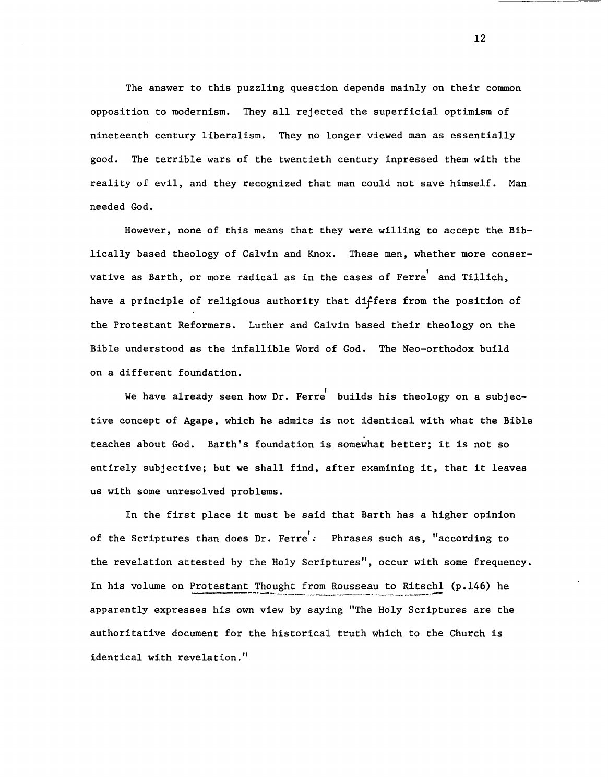The answer to this puzzling question depends mainly on their common opposition to modernism. They all rejected the superficial optimism of nineteenth century liberalism. They no longer viewed man as essentially good. The terrible wars of the twentieth century inpressed them with the reality of evil, and they recognized that man could not save himself. Man needed God.

However, none of this means that they were willing to accept the Biblically based theology of Calvin and Knox. These men, whether more conservative as Barth, or more radical as in the cases of Ferre' and Tillich, have a principle of religious authority that differs from the position of the Protestant Reformers. Luther and Calvin based their theology on the Bible understood as the infallible Word of God. The Neo-orthodox build on a different foundation.

We have already seen how Dr. Ferre builds his theology on a subjective concept of Agape, which he admits is not identical with what the Bible teaches about God. Barth's foundation is somewhat better; it is not so entirely subjective; but we shall find, after examining it, that it leaves us with some unresolved problems.

In the first place it must be said that Barth has a higher opinion of the Scriptures than does Dr. Ferre'. Phrases such as, "according to the revelation attested by the Holy Scriptures", occur with some frequency. In his volume on Protestant Thought from Rousseau to Ritschl (p.146) he apparently expresses his own view by saying "The Holy Scriptures are the authoritative document for the historical truth which to the Church is identical with revelation."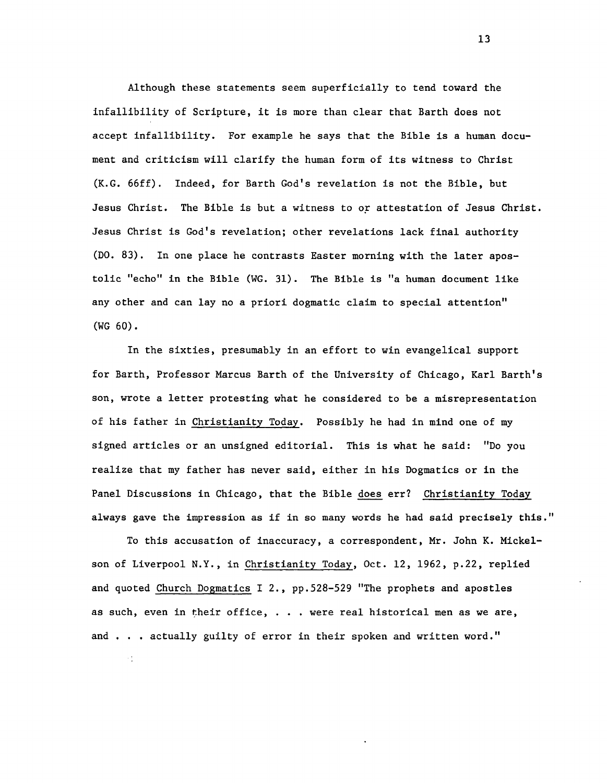Although these statements seem superficially to tend toward the infallibility of Scripture, it is more than clear that Barth does not accept infallibility. For example he says that the Bible is a human document and criticism will clarify the human form of its witness to Christ (K.G. 66ff). Indeed, for Barth God's revelation is not the Bible, but Jesus Christ. The Bible is but a witness to or attestation of Jesus Christ. Jesus Christ is God's revelation; other revelations lack final authority (DO. 83). In one place he contrasts Easter morning with the later apostolic "echo" in the Bible (WG. 31). The Bible is "a human document like any other and can lay no a priori dogmatic claim to special attention" (WG 60).

In the sixties, presumably in an effort to win evangelical support for Barth, Professor Marcus Barth of the University of Chicago, Karl Barth's son, wrote a letter protesting what he considered to be a misrepresentation of his father in Christianity Today. Possibly he had in mind one of my signed articles or an unsigned editorial. This is what he said: "Do you realize that my father has never said, either in his Dogmatics or in the Panel Discussions in Chicago, that the Bible does err? Christianity Today always gave the impression as if in so many words he had said precisely this."

To this accusation of inaccuracy, a correspondent, Mr. John K. Mickelson of Liverpool N.Y., in Christianity Today, Oct. 12,1962, p.22, replied and quoted Church Dogmatics I 2., pp.528-529 "The prophets and apostles as such, even in their office, . . . were real historical men as we are, and . . . actually guilty of error in their spoken and written word."

 $\sim$  1.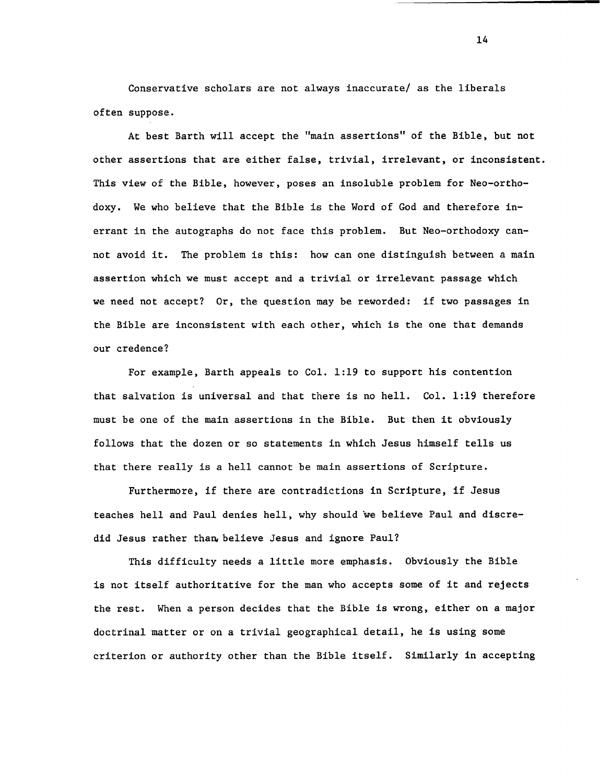Conservative scholars are not always inaccurate/ as the liberals often suppose.

At best Barth will accept the "main assertions" of the Bible, but not other assertions that are either false, trivial, irrelevant, or inconsistent. This view of the Bible, however, poses an insoluble problem for Neo-orthodoxy. We who believe that the Bible is the Word of God and therefore inerrant in the autographs do not face this problem. But Neo-orthodoxy cannot avoid it. The problem is this: how can one distinguish between a main assertion which we must accept and a trivial or irrelevant passage which we need not accept? Or, the question may be reworded: if two passages in the Bible are inconsistent with each other, which is the one that demands our credence?

For example, Barth appeals to Col. 1:19 to support his contention that salvation is universal and that there is no hell. Col. 1:19 therefore must be one of the main assertions in the Bible. But then it obviously follows that the dozen or so statements in which Jesus himself tells us that there really is a hell cannot be main assertions of Scripture.

Furthermore, if there are contradictions in Scripture, if Jesus teaches hell and Paul denies hell, why should we believe Paul and discredid Jesus rather than believe Jesus and ignore Paul?

This difficulty needs a little more emphasis. Obviously the Bible is not itself authoritative for the man who accepts some of it and rejects the rest. When a person decides that the Bible is wrong, either on a major doctrinal matter or on a trivial geographical detail, he is using some criterion or authority other than the Bible itself. Similarly in accepting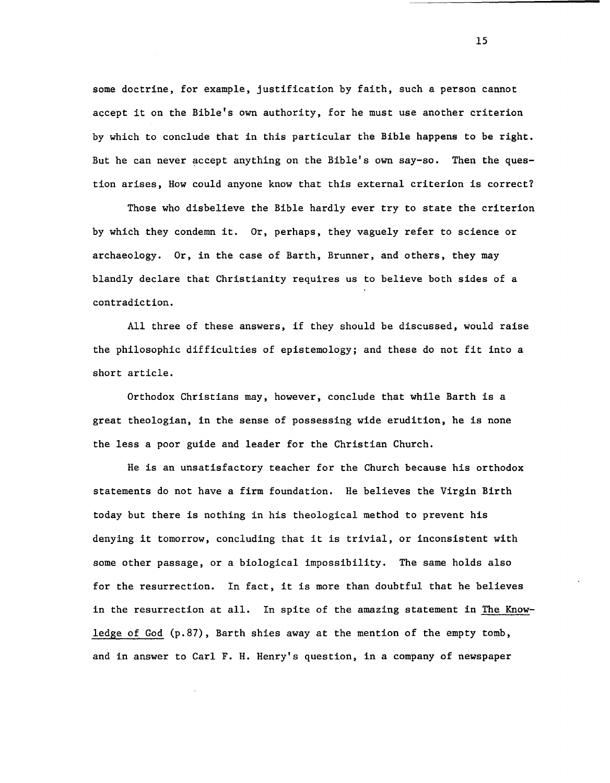some doctrine, for example, justification by faith, such a person cannot accept it on the Bible's own authority, for he must use another criterion by which to conclude that in this particular the Bible happens to be right. But he can never accept anything on the Bible's own say-so. Then the question arises, How could anyone know that this external criterion is correct?

Those who disbelieve the Bible hardly ever try to state the criterion by which they condemn it. Or, perhaps, they vaguely refer to science or archaeology. Or, in the case of Barth, Brunner, and others, they may blandly declare that Christianity requires us to believe both sides of a contradiction.

All three of these answers, if they should be discussed, would raise the philosophic difficulties of epistemology; and these do not fit into a short article.

Orthodox Christians may, however, conclude that while Barth is a great theologian, in the sense of possessing wide erudition, he is none the less a poor guide and leader for the Christian Church.

He is an unsatisfactory teacher for the Church because his orthodox statements do not have a firm foundation. He believes the Virgin Birth today but there is nothing in his theological method to prevent his denying it tomorrow, concluding that it is trivial, or inconsistent with some other passage, or a biological impossibility. The same holds also for the resurrection. In fact, it is more than doubtful that he believes in the resurrection at all. In spite of the amazing statement in The Knowledge of God (p.87), Barth shies away at the mention of the empty tomb, and in answer to Carl F. H. Henry's question, in a company of newspaper